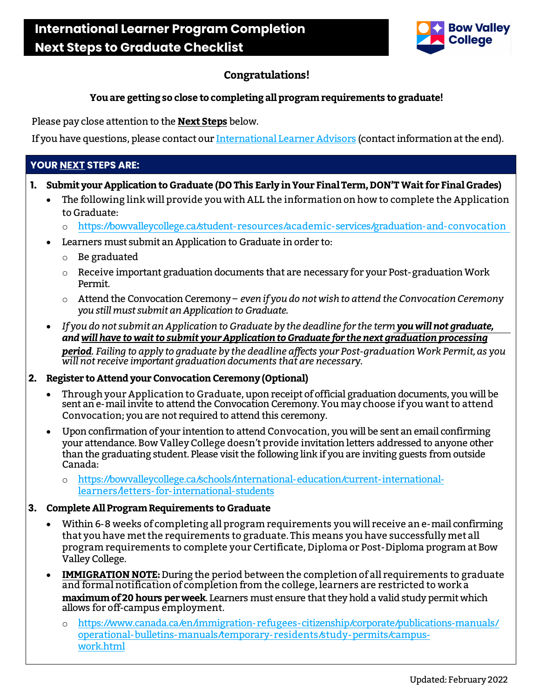

## **Congratulations!**

#### **You are getting so close to completing all program requirements to graduate!**

Please pay close attention to the **Next Steps** below.

If you have questions, please contact ou[r International Learner Advisors](https://bowvalleycollege.ca/schools/international-education/current-international-learners/international-advisors) (contact information at the end).

## **YOUR NEXT STEPS ARE:**

- **1. Submit your Application to Graduate (DO This Early in Your Final Term,DON'T Wait for Final Grades)**
	- The following link will provide you with ALL the information on how to complete the Application to Graduate:
		- o <https://bowvalleycollege.ca/student-resources/academic-services/graduation-and-convocation>
	- Learners must submit an Application to Graduate in order to:
		- o Be graduated
		- $\circ$  Receive important graduation documents that are necessary for your Post-graduation Work Permit.
		- o Attend the Convocation Ceremony *even if youdo not wish to attend the ConvocationCeremony you still must submit an Application to Graduate.*
	- *If you do not submit an Application to Graduate by the deadline for the termyou will not graduate, and will have to wait to submit your Applicationto Graduate for the next graduation processing period. Failing to apply to graduate by the deadline affects your Post-graduation Work Permit, as you will not receive important graduation documents that are necessary.*

#### **2.** Register to Attend your Convocation Ceremony (Optional)

- Through your Application to Graduate, upon receipt of official graduation documents, you will be sent an e-mail invite to attend the Convocation Ceremony. Youmay choose if you want to attend Convocation; you are not required to attend this ceremony.
- Uponconfirmation of your intention to attend Convocation, you will be sent an email confirming your attendance. Bow Valley College doesn't provide invitation letters addressed to anyone other than the graduating student. Please visit the following link if you are inviting guests from outside Canada:
	- o [https://bowvalleycollege.ca/schools/international-education/current-international](https://bowvalleycollege.ca/schools/international-education/current-international-learners/letters-for-international-students)[learners/letters-for-international-students](https://bowvalleycollege.ca/schools/international-education/current-international-learners/letters-for-international-students)

#### **3. Complete All ProgramRequirements to Graduate**

- Within 6-8 weeks of completing all program requirements you will receive ane-mail confirming that you have met the requirements to graduate. This means you have successfully met all program requirements to complete your Certificate, Diploma or Post-Diploma program at Bow Valley College.
- **IMMIGRATION NOTE:**During the period between the completion of all requirements to graduate and formal notification of completion from the college, learners are restricted to work a **maximumof 20 hours per week**. Learners must ensure that they hold a valid study permit which allows for off-campus employment.
	- https://www.canada.ca/en/immigration-refugees-citizenship/corporate/publications-manuals/ [operational-bulletins-manuals/temporary-residents/study-permits/campus](https://www.canada.ca/en/immigration-refugees-citizenship/corporate/publications-manuals/operational-bulletins-manuals/temporary-residents/study-permits/campus-work.html)[work.html](https://www.canada.ca/en/immigration-refugees-citizenship/corporate/publications-manuals/operational-bulletins-manuals/temporary-residents/study-permits/campus-work.html)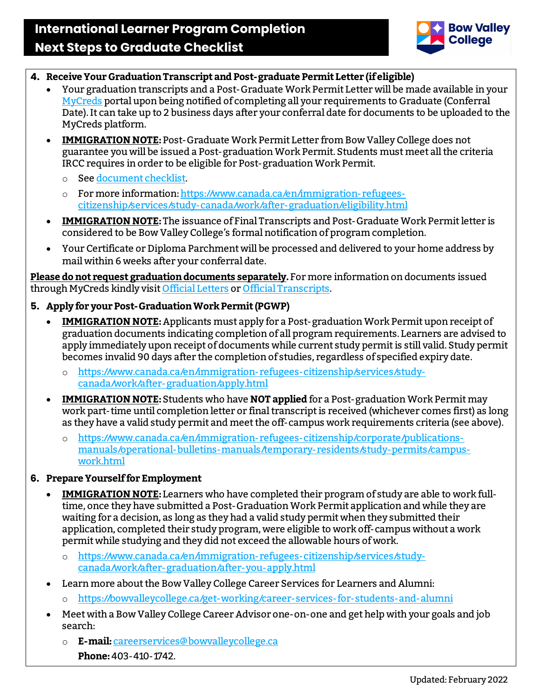

- **4. Receive Your Graduation Transcript and Post-graduate Permit Letter (if eligible)**
	- Your graduation transcripts and a Post-Graduate Work Permit Letter will be made available in your [MyCreds](https://learner.mycreds.ca/#/user/login) portal upon being notified of completing all your requirements to Graduate (Conferral Date). It can take up to 2 business days after your conferral date for documents to be uploaded to the MyCreds platform.
	- **IMMIGRATION NOTE:**Post-Graduate Work Permit Letter from Bow Valley College does not guarantee you will be issued a Post-graduation Work Permit. Students must meet all the criteria IRCC requires in order to be eligible for Post-graduation Work Permit.
		- o Se[e document checklist.](https://www.canada.ca/content/dam/ircc/migration/ircc/english/pdf/kits/forms/imm5583e.pdf)
		- o For more information[: https://www.canada.ca/en/immigration-refugees](https://www.canada.ca/en/immigration-refugees-citizenship/services/study-canada/work/after-graduation/eligibility.html)[citizenship/services/study-canada/work/after-graduation/eligibility.html](https://www.canada.ca/en/immigration-refugees-citizenship/services/study-canada/work/after-graduation/eligibility.html)
	- **IMMIGRATION NOTE:**The issuance of Final Transcripts and Post-Graduate Work Permit letter is considered to be Bow Valley College's formal notification of program completion.
	- Your Certificate or Diploma Parchment will be processed and delivered to your home address by mail within 6 weeks after your conferral date.

**Please do not request graduation documents separately.**For more information on documents issued through MyCreds kindly visi[t Official Letters](https://can01.safelinks.protection.outlook.com/?url=https%3A%2F%2Fbowvalleycollege.ca%2Fstudent-resources%2Facademic-services%2Fofficial-college-letters&data=04%7C01%7Cwcullingham%40bowvalleycollege.ca%7C440b03b3aa7c4f19a91808d9f1d2634e%7C8f11c6f4648e4c0cbb9996e8408a8e2a%7C0%7C0%7C637806710174755445%7CUnknown%7CTWFpbGZsb3d8eyJWIjoiMC4wLjAwMDAiLCJQIjoiV2luMzIiLCJBTiI6Ik1haWwiLCJXVCI6Mn0%3D%7C3000&sdata=JHGkH9qHPDGbOP%2Bhwh5erGYvO93T1gwpV418apzlPA8%3D&reserved=0) o[r Official Transcripts.](https://can01.safelinks.protection.outlook.com/?url=https%3A%2F%2Fbowvalleycollege.ca%2Fstudent-resources%2Facademic-services%2Ftranscripts&data=04%7C01%7Cwcullingham%40bowvalleycollege.ca%7C440b03b3aa7c4f19a91808d9f1d2634e%7C8f11c6f4648e4c0cbb9996e8408a8e2a%7C0%7C0%7C637806710174755445%7CUnknown%7CTWFpbGZsb3d8eyJWIjoiMC4wLjAwMDAiLCJQIjoiV2luMzIiLCJBTiI6Ik1haWwiLCJXVCI6Mn0%3D%7C3000&sdata=uHtV%2F%2Beuxaugp0KeJkIjg4zJThn4OavYdEvLrs%2FjPQM%3D&reserved=0)

## **5. Apply for your Post-Graduation Work Permit (PGWP)**

- **IMMIGRATION NOTE:**Applicants must apply for a Post-graduation Work Permitupon receipt of graduation documents indicating completion of all program requirements. Learners are advised to apply immediately upon receipt of documents while current study permit is still valid.Study permit becomes invalid 90 days after the completion of studies, regardless of specified expiry date.
	- o [https://www.canada.ca/en/immigration-refugees-citizenship/services/study](https://www.canada.ca/en/immigration-refugees-citizenship/services/study-canada/work/after-graduation/apply.html)[canada/work/after-graduation/apply.html](https://www.canada.ca/en/immigration-refugees-citizenship/services/study-canada/work/after-graduation/apply.html)
- **IMMIGRATION NOTE:** Students who have **NOT applied** for a Post-graduation Work Permit may work part-time until completion letter or final transcriptis received (whichever comes first) as long as they have a valid study permit and meet the off-campus work requirements criteria (see above).
	- o [https://www.canada.ca/en/immigration-refugees-citizenship/corporate/publications](https://www.canada.ca/en/immigration-refugees-citizenship/corporate/publications-manuals/operational-bulletins-manuals/temporary-residents/study-permits/campus-work.html)[manuals/operational-bulletins-manuals/temporary-residents/study-permits/campus](https://www.canada.ca/en/immigration-refugees-citizenship/corporate/publications-manuals/operational-bulletins-manuals/temporary-residents/study-permits/campus-work.html)[work.html](https://www.canada.ca/en/immigration-refugees-citizenship/corporate/publications-manuals/operational-bulletins-manuals/temporary-residents/study-permits/campus-work.html)

## **6. Prepare Yourself for Employment**

- **IMMIGRATION NOTE:** Learners who have completed their program of study are able to work fulltime, once they have submitted a Post-Graduation Work Permit application and while they are waiting for a decision, as long as they had a valid study permit when they submitted their application, completed their study program, were eligible to work off-campus without a work permit while studying and they did not exceed the allowable hours of work.
	- o [https://www.canada.ca/en/immigration-refugees-citizenship/services/study](https://www.canada.ca/en/immigration-refugees-citizenship/services/study-canada/work/after-graduation/after-you-apply.html)[canada/work/after-graduation/after-you-apply.html](https://www.canada.ca/en/immigration-refugees-citizenship/services/study-canada/work/after-graduation/after-you-apply.html)
- Learn more about the Bow Valley College Career Services for Learners and Alumni:
	- o <https://bowvalleycollege.ca/get-working/career-services-for-students-and-alumni>
- Meet with a Bow Valley College Career Advisor one-on-one and get help with your goals and job search:
	- o **E-mail:**[careerservices@bowvalleycollege.ca](mailto:careerservices@bowvalleycollege.ca) **Phone:**403-410-1742.